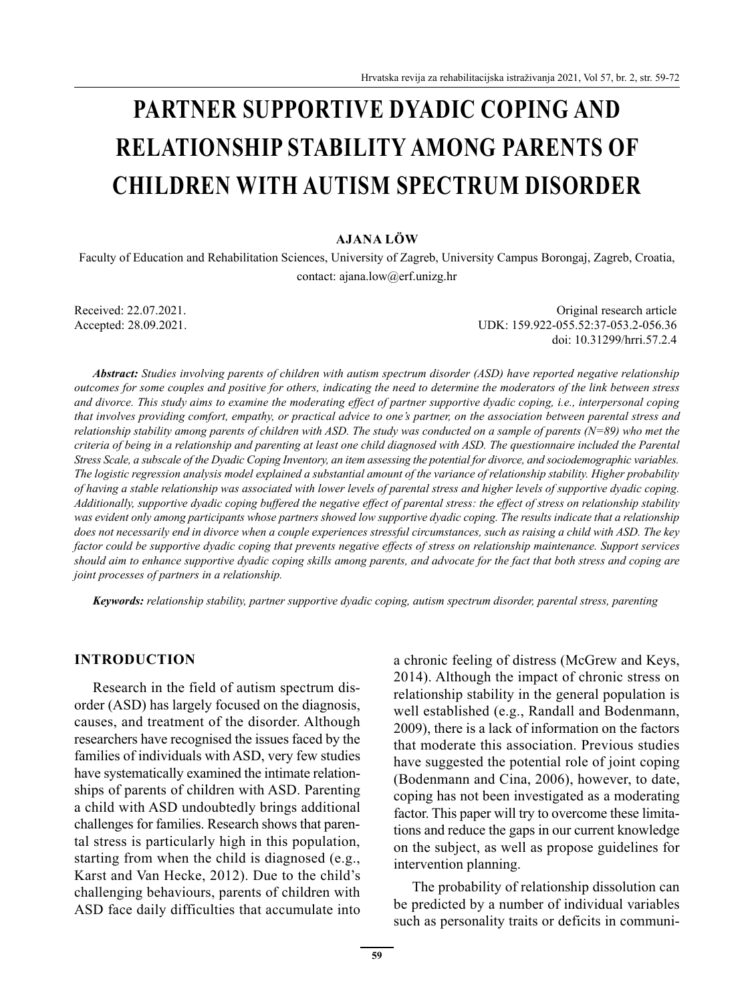# **PARTNER SUPPORTIVE DYADIC COPING AND RELATIONSHIP STABILITY AMONG PARENTS OF CHILDREN WITH AUTISM SPECTRUM DISORDER**

### **AJANA LÖW**

Faculty of Education and Rehabilitation Sciences, University of Zagreb, University Campus Borongaj, Zagreb, Croatia, contact: ajana.low@erf.unizg.hr

Received: 22.07.2021. Original research article Accepted: 28.09.2021. UDK: 159.922-055.52:37-053.2-056.36 doi: 10.31299/hrri.57.2.4

*Abstract: Studies involving parents of children with autism spectrum disorder (ASD) have reported negative relationship outcomes for some couples and positive for others, indicating the need to determine the moderators of the link between stress and divorce. This study aims to examine the moderating effect of partner supportive dyadic coping, i.e., interpersonal coping that involves providing comfort, empathy, or practical advice to one's partner, on the association between parental stress and relationship stability among parents of children with ASD. The study was conducted on a sample of parents (N=89) who met the criteria of being in a relationship and parenting at least one child diagnosed with ASD. The questionnaire included the Parental Stress Scale, a subscale of the Dyadic Coping Inventory, an item assessing the potential for divorce, and sociodemographic variables. The logistic regression analysis model explained a substantial amount of the variance of relationship stability. Higher probability of having a stable relationship was associated with lower levels of parental stress and higher levels of supportive dyadic coping. Additionally, supportive dyadic coping buffered the negative effect of parental stress: the effect of stress on relationship stability was evident only among participants whose partners showed low supportive dyadic coping. The results indicate that a relationship does not necessarily end in divorce when a couple experiences stressful circumstances, such as raising a child with ASD. The key factor could be supportive dyadic coping that prevents negative effects of stress on relationship maintenance. Support services should aim to enhance supportive dyadic coping skills among parents, and advocate for the fact that both stress and coping are joint processes of partners in a relationship.*

*Keywords: relationship stability, partner supportive dyadic coping, autism spectrum disorder, parental stress, parenting*

#### **INTRODUCTION**

Research in the field of autism spectrum disorder (ASD) has largely focused on the diagnosis, causes, and treatment of the disorder. Although researchers have recognised the issues faced by the families of individuals with ASD, very few studies have systematically examined the intimate relationships of parents of children with ASD. Parenting a child with ASD undoubtedly brings additional challenges for families. Research shows that parental stress is particularly high in this population, starting from when the child is diagnosed (e.g., Karst and Van Hecke, 2012). Due to the child's challenging behaviours, parents of children with ASD face daily difficulties that accumulate into a chronic feeling of distress (McGrew and Keys, 2014). Although the impact of chronic stress on relationship stability in the general population is well established (e.g., Randall and Bodenmann, 2009), there is a lack of information on the factors that moderate this association. Previous studies have suggested the potential role of joint coping (Bodenmann and Cina, 2006), however, to date, coping has not been investigated as a moderating factor. This paper will try to overcome these limitations and reduce the gaps in our current knowledge on the subject, as well as propose guidelines for intervention planning.

The probability of relationship dissolution can be predicted by a number of individual variables such as personality traits or deficits in communi-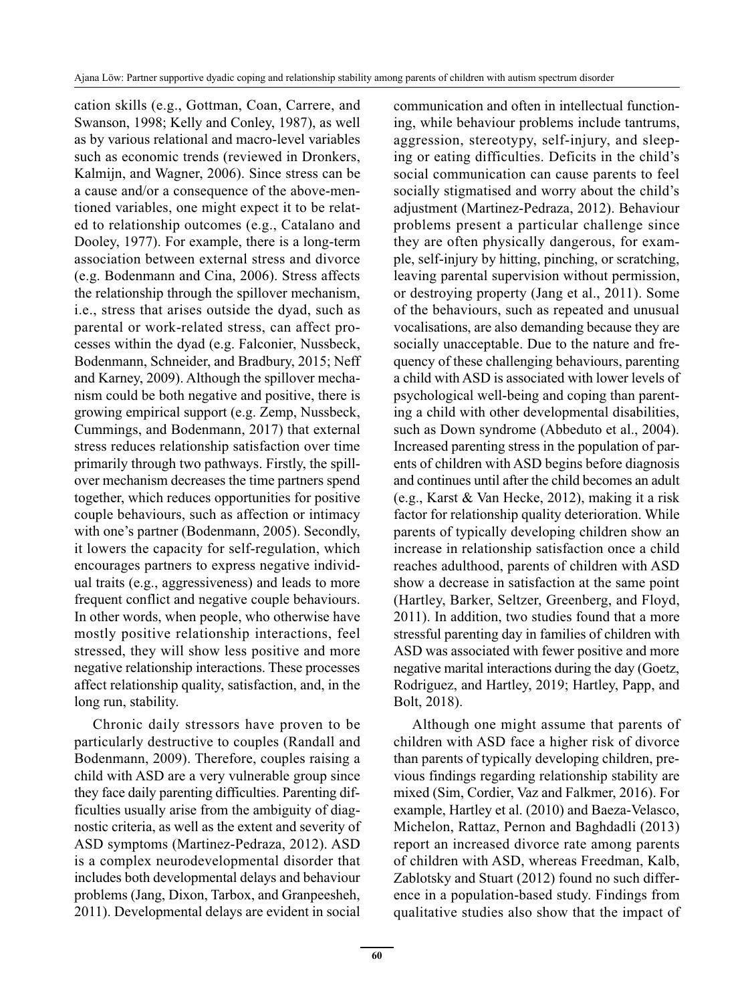cation skills (e.g., Gottman, Coan, Carrere, and Swanson, 1998; Kelly and Conley, 1987), as well as by various relational and macro-level variables such as economic trends (reviewed in Dronkers, Kalmijn, and Wagner, 2006). Since stress can be a cause and/or a consequence of the above-mentioned variables, one might expect it to be related to relationship outcomes (e.g., Catalano and Dooley, 1977). For example, there is a long-term association between external stress and divorce (e.g. Bodenmann and Cina, 2006). Stress affects the relationship through the spillover mechanism, i.e., stress that arises outside the dyad, such as parental or work-related stress, can affect processes within the dyad (e.g. Falconier, Nussbeck, Bodenmann, Schneider, and Bradbury, 2015; Neff and Karney, 2009). Although the spillover mechanism could be both negative and positive, there is growing empirical support (e.g. Zemp, Nussbeck, Cummings, and Bodenmann, 2017) that external stress reduces relationship satisfaction over time primarily through two pathways. Firstly, the spillover mechanism decreases the time partners spend together, which reduces opportunities for positive couple behaviours, such as affection or intimacy with one's partner (Bodenmann, 2005). Secondly, it lowers the capacity for self-regulation, which encourages partners to express negative individual traits (e.g., aggressiveness) and leads to more frequent conflict and negative couple behaviours. In other words, when people, who otherwise have mostly positive relationship interactions, feel stressed, they will show less positive and more negative relationship interactions. These processes affect relationship quality, satisfaction, and, in the long run, stability.

Chronic daily stressors have proven to be particularly destructive to couples (Randall and Bodenmann, 2009). Therefore, couples raising a child with ASD are a very vulnerable group since they face daily parenting difficulties. Parenting difficulties usually arise from the ambiguity of diagnostic criteria, as well as the extent and severity of ASD symptoms (Martinez-Pedraza, 2012). ASD is a complex neurodevelopmental disorder that includes both developmental delays and behaviour problems (Jang, Dixon, Tarbox, and Granpeesheh, 2011). Developmental delays are evident in social communication and often in intellectual functioning, while behaviour problems include tantrums, aggression, stereotypy, self-injury, and sleeping or eating difficulties. Deficits in the child's social communication can cause parents to feel socially stigmatised and worry about the child's adjustment (Martinez-Pedraza, 2012). Behaviour problems present a particular challenge since they are often physically dangerous, for example, self-injury by hitting, pinching, or scratching, leaving parental supervision without permission, or destroying property (Jang et al., 2011). Some of the behaviours, such as repeated and unusual vocalisations, are also demanding because they are socially unacceptable. Due to the nature and frequency of these challenging behaviours, parenting a child with ASD is associated with lower levels of psychological well-being and coping than parenting a child with other developmental disabilities, such as Down syndrome (Abbeduto et al., 2004). Increased parenting stress in the population of parents of children with ASD begins before diagnosis and continues until after the child becomes an adult (e.g., Karst & Van Hecke, 2012), making it a risk factor for relationship quality deterioration. While parents of typically developing children show an increase in relationship satisfaction once a child reaches adulthood, parents of children with ASD show a decrease in satisfaction at the same point (Hartley, Barker, Seltzer, Greenberg, and Floyd, 2011). In addition, two studies found that a more stressful parenting day in families of children with ASD was associated with fewer positive and more negative marital interactions during the day (Goetz, Rodriguez, and Hartley, 2019; Hartley, Papp, and Bolt, 2018).

Although one might assume that parents of children with ASD face a higher risk of divorce than parents of typically developing children, previous findings regarding relationship stability are mixed (Sim, Cordier, Vaz and Falkmer, 2016). For example, Hartley et al. (2010) and Baeza-Velasco, Michelon, Rattaz, Pernon and Baghdadli (2013) report an increased divorce rate among parents of children with ASD, whereas Freedman, Kalb, Zablotsky and Stuart (2012) found no such difference in a population-based study. Findings from qualitative studies also show that the impact of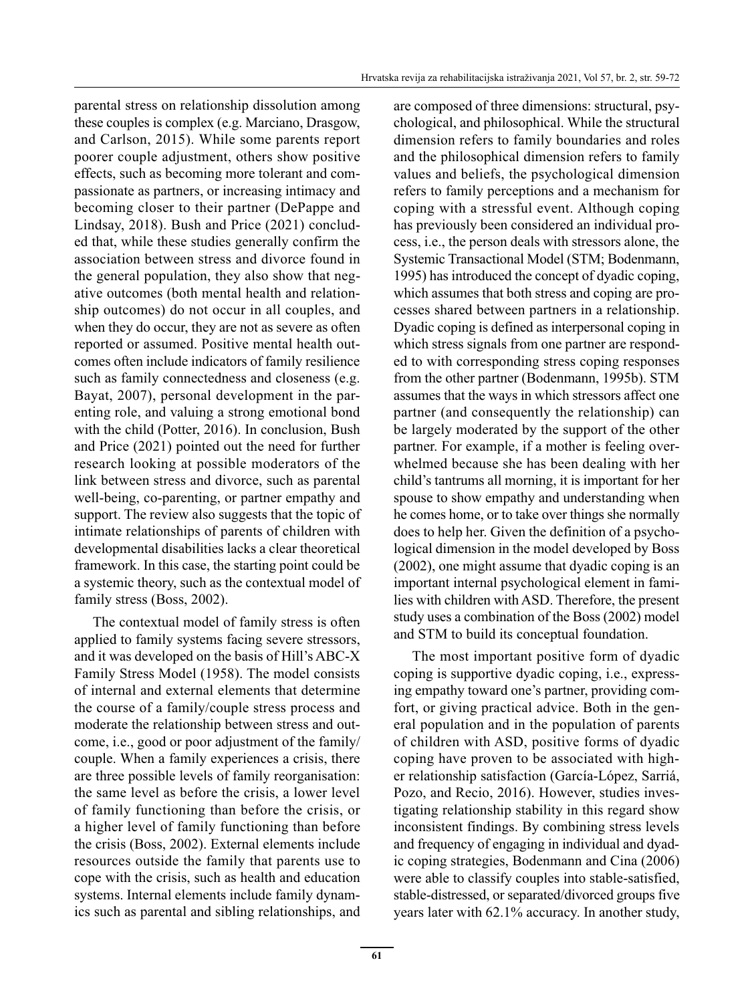parental stress on relationship dissolution among these couples is complex (e.g. Marciano, Drasgow, and Carlson, 2015). While some parents report poorer couple adjustment, others show positive effects, such as becoming more tolerant and compassionate as partners, or increasing intimacy and becoming closer to their partner (DePappe and Lindsay, 2018). Bush and Price (2021) concluded that, while these studies generally confirm the association between stress and divorce found in the general population, they also show that negative outcomes (both mental health and relationship outcomes) do not occur in all couples, and when they do occur, they are not as severe as often reported or assumed. Positive mental health outcomes often include indicators of family resilience such as family connectedness and closeness (e.g. Bayat, 2007), personal development in the parenting role, and valuing a strong emotional bond with the child (Potter, 2016). In conclusion, Bush and Price (2021) pointed out the need for further research looking at possible moderators of the link between stress and divorce, such as parental well-being, co-parenting, or partner empathy and support. The review also suggests that the topic of intimate relationships of parents of children with developmental disabilities lacks a clear theoretical framework. In this case, the starting point could be a systemic theory, such as the contextual model of family stress (Boss, 2002).

The contextual model of family stress is often applied to family systems facing severe stressors, and it was developed on the basis of Hill's ABC-X Family Stress Model (1958). The model consists of internal and external elements that determine the course of a family/couple stress process and moderate the relationship between stress and outcome, i.e., good or poor adjustment of the family/ couple. When a family experiences a crisis, there are three possible levels of family reorganisation: the same level as before the crisis, a lower level of family functioning than before the crisis, or a higher level of family functioning than before the crisis (Boss, 2002). External elements include resources outside the family that parents use to cope with the crisis, such as health and education systems. Internal elements include family dynamics such as parental and sibling relationships, and are composed of three dimensions: structural, psychological, and philosophical. While the structural dimension refers to family boundaries and roles and the philosophical dimension refers to family values and beliefs, the psychological dimension refers to family perceptions and a mechanism for coping with a stressful event. Although coping has previously been considered an individual process, i.e., the person deals with stressors alone, the Systemic Transactional Model (STM; Bodenmann, 1995) has introduced the concept of dyadic coping, which assumes that both stress and coping are processes shared between partners in a relationship. Dyadic coping is defined as interpersonal coping in which stress signals from one partner are responded to with corresponding stress coping responses from the other partner (Bodenmann, 1995b). STM assumes that the ways in which stressors affect one partner (and consequently the relationship) can be largely moderated by the support of the other partner. For example, if a mother is feeling overwhelmed because she has been dealing with her child's tantrums all morning, it is important for her spouse to show empathy and understanding when he comes home, or to take over things she normally does to help her. Given the definition of a psychological dimension in the model developed by Boss (2002), one might assume that dyadic coping is an important internal psychological element in families with children with ASD. Therefore, the present study uses a combination of the Boss (2002) model and STM to build its conceptual foundation.

The most important positive form of dyadic coping is supportive dyadic coping, i.e., expressing empathy toward one's partner, providing comfort, or giving practical advice. Both in the general population and in the population of parents of children with ASD, positive forms of dyadic coping have proven to be associated with higher relationship satisfaction (García-López, Sarriá, Pozo, and Recio, 2016). However, studies investigating relationship stability in this regard show inconsistent findings. By combining stress levels and frequency of engaging in individual and dyadic coping strategies, Bodenmann and Cina (2006) were able to classify couples into stable-satisfied, stable-distressed, or separated/divorced groups five years later with 62.1% accuracy. In another study,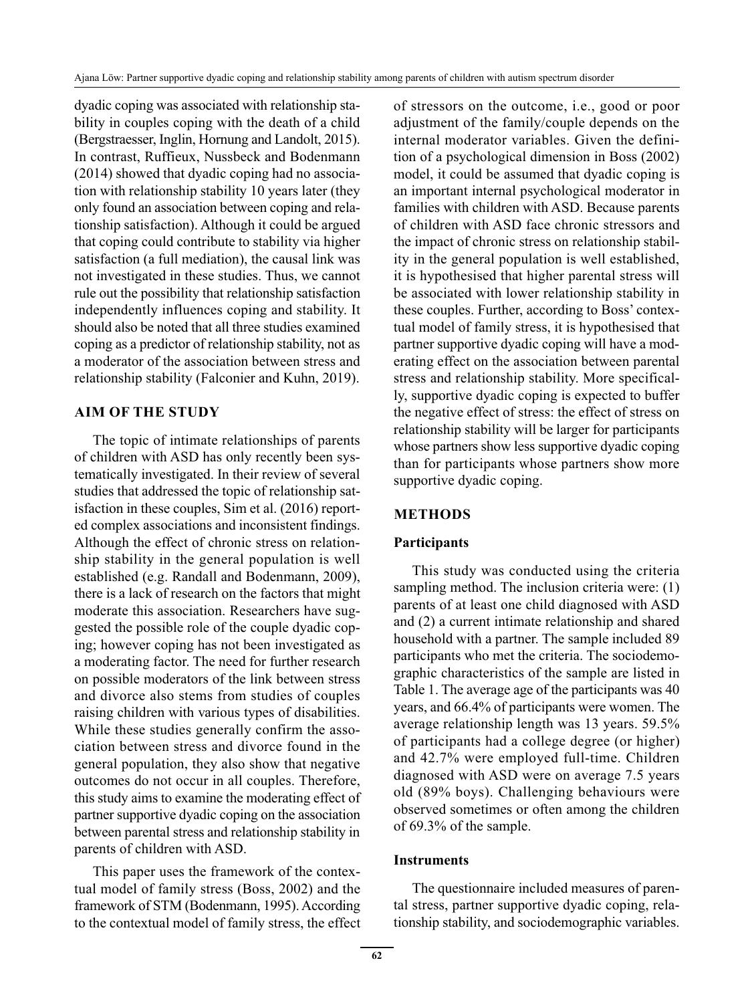dyadic coping was associated with relationship stability in couples coping with the death of a child (Bergstraesser, Inglin, Hornung and Landolt, 2015). In contrast, Ruffieux, Nussbeck and Bodenmann (2014) showed that dyadic coping had no association with relationship stability 10 years later (they only found an association between coping and relationship satisfaction). Although it could be argued that coping could contribute to stability via higher satisfaction (a full mediation), the causal link was not investigated in these studies. Thus, we cannot rule out the possibility that relationship satisfaction independently influences coping and stability. It should also be noted that all three studies examined coping as a predictor of relationship stability, not as a moderator of the association between stress and relationship stability (Falconier and Kuhn, 2019).

## **AIM OF THE STUDY**

The topic of intimate relationships of parents of children with ASD has only recently been systematically investigated. In their review of several studies that addressed the topic of relationship satisfaction in these couples, Sim et al. (2016) reported complex associations and inconsistent findings. Although the effect of chronic stress on relationship stability in the general population is well established (e.g. Randall and Bodenmann, 2009), there is a lack of research on the factors that might moderate this association. Researchers have suggested the possible role of the couple dyadic coping; however coping has not been investigated as a moderating factor. The need for further research on possible moderators of the link between stress and divorce also stems from studies of couples raising children with various types of disabilities. While these studies generally confirm the association between stress and divorce found in the general population, they also show that negative outcomes do not occur in all couples. Therefore, this study aims to examine the moderating effect of partner supportive dyadic coping on the association between parental stress and relationship stability in parents of children with ASD.

This paper uses the framework of the contextual model of family stress (Boss, 2002) and the framework of STM (Bodenmann, 1995). According to the contextual model of family stress, the effect of stressors on the outcome, i.e., good or poor adjustment of the family/couple depends on the internal moderator variables. Given the definition of a psychological dimension in Boss (2002) model, it could be assumed that dyadic coping is an important internal psychological moderator in families with children with ASD. Because parents of children with ASD face chronic stressors and the impact of chronic stress on relationship stability in the general population is well established, it is hypothesised that higher parental stress will be associated with lower relationship stability in these couples. Further, according to Boss' contextual model of family stress, it is hypothesised that partner supportive dyadic coping will have a moderating effect on the association between parental stress and relationship stability. More specifically, supportive dyadic coping is expected to buffer the negative effect of stress: the effect of stress on relationship stability will be larger for participants whose partners show less supportive dyadic coping than for participants whose partners show more supportive dyadic coping.

# **METHODS**

## **Participants**

This study was conducted using the criteria sampling method. The inclusion criteria were: (1) parents of at least one child diagnosed with ASD and (2) a current intimate relationship and shared household with a partner. The sample included 89 participants who met the criteria. The sociodemographic characteristics of the sample are listed in Table 1. The average age of the participants was 40 years, and 66.4% of participants were women. The average relationship length was 13 years. 59.5% of participants had a college degree (or higher) and 42.7% were employed full-time. Children diagnosed with ASD were on average 7.5 years old (89% boys). Challenging behaviours were observed sometimes or often among the children of 69.3% of the sample.

## **Instruments**

The questionnaire included measures of parental stress, partner supportive dyadic coping, relationship stability, and sociodemographic variables.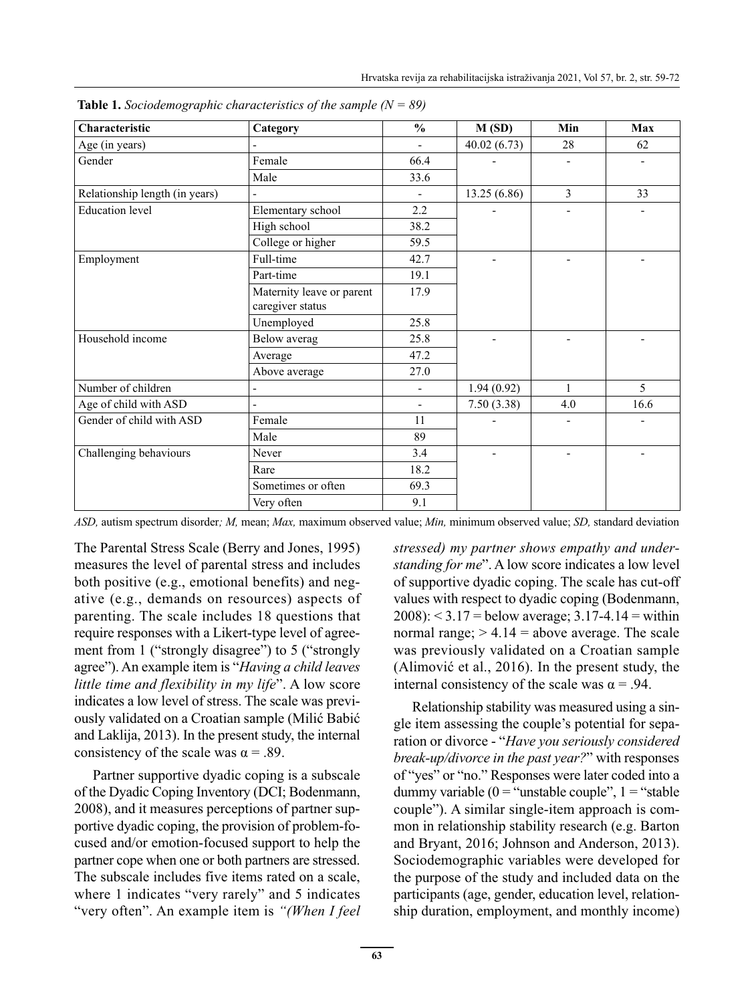| Characteristic                 | Category                  | $\frac{0}{0}$            | M(SD)        | Min            | Max  |
|--------------------------------|---------------------------|--------------------------|--------------|----------------|------|
| Age (in years)                 |                           | $\overline{a}$           | 40.02(6.73)  | 28             | 62   |
| Gender                         | Female                    | 66.4                     |              | $\overline{a}$ |      |
|                                | Male                      | 33.6                     |              |                |      |
| Relationship length (in years) |                           | $\overline{\phantom{a}}$ | 13.25 (6.86) | 3              | 33   |
| <b>Education</b> level         | Elementary school         | 2.2                      |              |                |      |
|                                | High school               | 38.2                     |              |                |      |
|                                | College or higher         | 59.5                     |              |                |      |
| Employment                     | Full-time                 | 42.7                     |              |                |      |
|                                | Part-time                 | 19.1                     |              |                |      |
|                                | Maternity leave or parent | 17.9                     |              |                |      |
|                                | caregiver status          |                          |              |                |      |
|                                | Unemployed                | 25.8                     |              |                |      |
| Household income               | Below averag              | 25.8                     |              |                |      |
|                                | Average                   | 47.2                     |              |                |      |
|                                | Above average             | 27.0                     |              |                |      |
| Number of children             |                           | $\overline{\phantom{a}}$ | 1.94(0.92)   | 1              | 5    |
| Age of child with ASD          |                           | $\blacksquare$           | 7.50(3.38)   | 4.0            | 16.6 |
| Gender of child with ASD       | Female                    | 11                       |              |                |      |
|                                | Male                      | 89                       |              |                |      |
| Challenging behaviours         | Never                     | 3.4                      |              |                |      |
|                                | Rare                      | 18.2                     |              |                |      |
|                                | Sometimes or often        | 69.3                     |              |                |      |
|                                | Very often                | 9.1                      |              |                |      |

 **Table 1.** *Sociodemographic characteristics of the sample (N = 89)*

*ASD,* autism spectrum disorder*; M,* mean; *Max,* maximum observed value; *Min,* minimum observed value; *SD,* standard deviation

The Parental Stress Scale (Berry and Jones, 1995) measures the level of parental stress and includes both positive (e.g., emotional benefits) and negative (e.g., demands on resources) aspects of parenting. The scale includes 18 questions that require responses with a Likert-type level of agreement from 1 ("strongly disagree") to 5 ("strongly agree"). An example item is "*Having a child leaves little time and flexibility in my life*". A low score indicates a low level of stress. The scale was previously validated on a Croatian sample (Milić Babić and Laklija, 2013). In the present study, the internal consistency of the scale was  $\alpha = .89$ .

Partner supportive dyadic coping is a subscale of the Dyadic Coping Inventory (DCI; Bodenmann, 2008), and it measures perceptions of partner supportive dyadic coping, the provision of problem-focused and/or emotion-focused support to help the partner cope when one or both partners are stressed. The subscale includes five items rated on a scale, where 1 indicates "very rarely" and 5 indicates "very often". An example item is *"(When I feel*  *stressed) my partner shows empathy and understanding for me*". A low score indicates a low level of supportive dyadic coping. The scale has cut-off values with respect to dyadic coping (Bodenmann,  $2008$ :  $\leq$  3.17 = below average; 3.17-4.14 = within normal range;  $> 4.14$  = above average. The scale was previously validated on a Croatian sample (Alimović et al., 2016). In the present study, the internal consistency of the scale was  $\alpha = .94$ .

Relationship stability was measured using a single item assessing the couple's potential for separation or divorce - "*Have you seriously considered break-up/divorce in the past year?*" with responses of "yes" or "no." Responses were later coded into a dummy variable ( $0 =$ "unstable couple",  $1 =$ "stable couple"). A similar single-item approach is common in relationship stability research (e.g. Barton and Bryant, 2016; Johnson and Anderson, 2013). Sociodemographic variables were developed for the purpose of the study and included data on the participants (age, gender, education level, relationship duration, employment, and monthly income)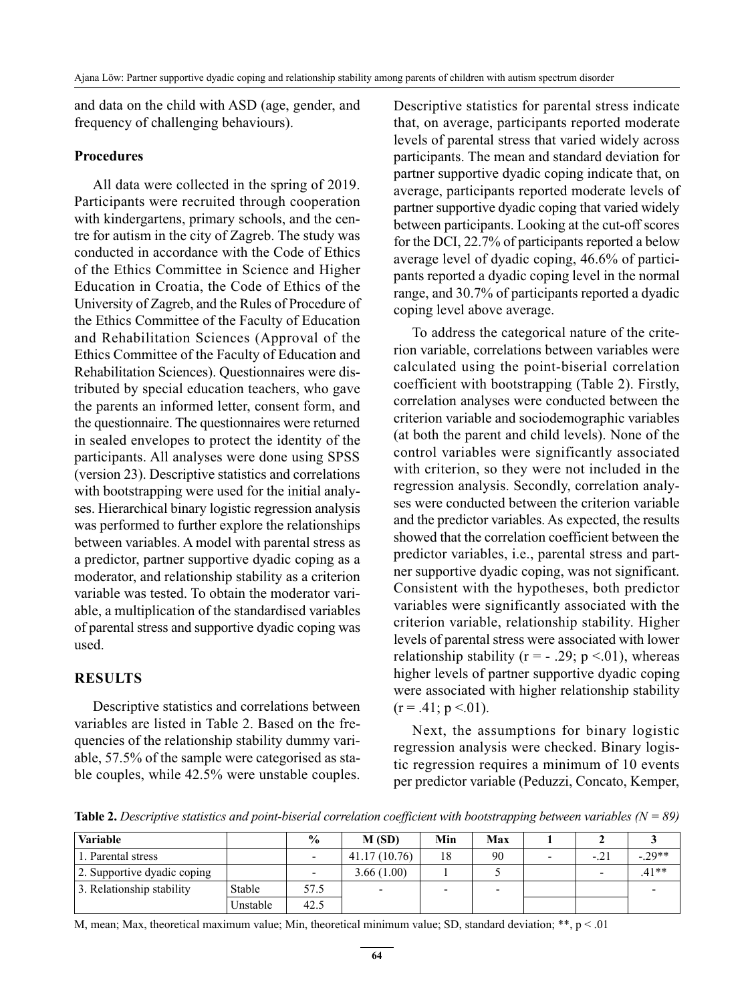and data on the child with ASD (age, gender, and frequency of challenging behaviours).

#### **Procedures**

All data were collected in the spring of 2019. Participants were recruited through cooperation with kindergartens, primary schools, and the centre for autism in the city of Zagreb. The study was conducted in accordance with the Code of Ethics of the Ethics Committee in Science and Higher Education in Croatia, the Code of Ethics of the University of Zagreb, and the Rules of Procedure of the Ethics Committee of the Faculty of Education and Rehabilitation Sciences (Approval of the Ethics Committee of the Faculty of Education and Rehabilitation Sciences). Questionnaires were distributed by special education teachers, who gave the parents an informed letter, consent form, and the questionnaire. The questionnaires were returned in sealed envelopes to protect the identity of the participants. All analyses were done using SPSS (version 23). Descriptive statistics and correlations with bootstrapping were used for the initial analyses. Hierarchical binary logistic regression analysis was performed to further explore the relationships between variables. A model with parental stress as a predictor, partner supportive dyadic coping as a moderator, and relationship stability as a criterion variable was tested. To obtain the moderator variable, a multiplication of the standardised variables of parental stress and supportive dyadic coping was used.

#### **RESULTS**

Descriptive statistics and correlations between variables are listed in Table 2. Based on the frequencies of the relationship stability dummy variable, 57.5% of the sample were categorised as stable couples, while 42.5% were unstable couples. Descriptive statistics for parental stress indicate that, on average, participants reported moderate levels of parental stress that varied widely across participants. The mean and standard deviation for partner supportive dyadic coping indicate that, on average, participants reported moderate levels of partner supportive dyadic coping that varied widely between participants. Looking at the cut-off scores for the DCI, 22.7% of participants reported a below average level of dyadic coping, 46.6% of participants reported a dyadic coping level in the normal range, and 30.7% of participants reported a dyadic coping level above average.

To address the categorical nature of the criterion variable, correlations between variables were calculated using the point-biserial correlation coefficient with bootstrapping (Table 2). Firstly, correlation analyses were conducted between the criterion variable and sociodemographic variables (at both the parent and child levels). None of the control variables were significantly associated with criterion, so they were not included in the regression analysis. Secondly, correlation analyses were conducted between the criterion variable and the predictor variables. As expected, the results showed that the correlation coefficient between the predictor variables, i.e., parental stress and partner supportive dyadic coping, was not significant. Consistent with the hypotheses, both predictor variables were significantly associated with the criterion variable, relationship stability. Higher levels of parental stress were associated with lower relationship stability ( $r = -0.29$ ;  $p < 0.01$ ), whereas higher levels of partner supportive dyadic coping were associated with higher relationship stability  $(r = .41; p < .01)$ .

Next, the assumptions for binary logistic regression analysis were checked. Binary logistic regression requires a minimum of 10 events per predictor variable (Peduzzi, Concato, Kemper,

**Table 2.** *Descriptive statistics and point-biserial correlation coefficient with bootstrapping between variables (N = 89)*

| <b>Variable</b>             |          | $\frac{6}{9}$ | M(SD)        | Min | Max |        |           |
|-----------------------------|----------|---------------|--------------|-----|-----|--------|-----------|
| 1. Parental stress          |          |               | 41.17(10.76) | 18  | 90  | $-.21$ | $-0.29**$ |
| 2. Supportive dyadic coping |          |               | 3.66(1.00)   |     |     |        | $.41**$   |
| 3. Relationship stability   | Stable   | 57.5          |              |     |     |        |           |
|                             | Unstable | 42.5          |              |     |     |        |           |

M, mean; Max, theoretical maximum value; Min, theoretical minimum value; SD, standard deviation;  $**$ ,  $p < .01$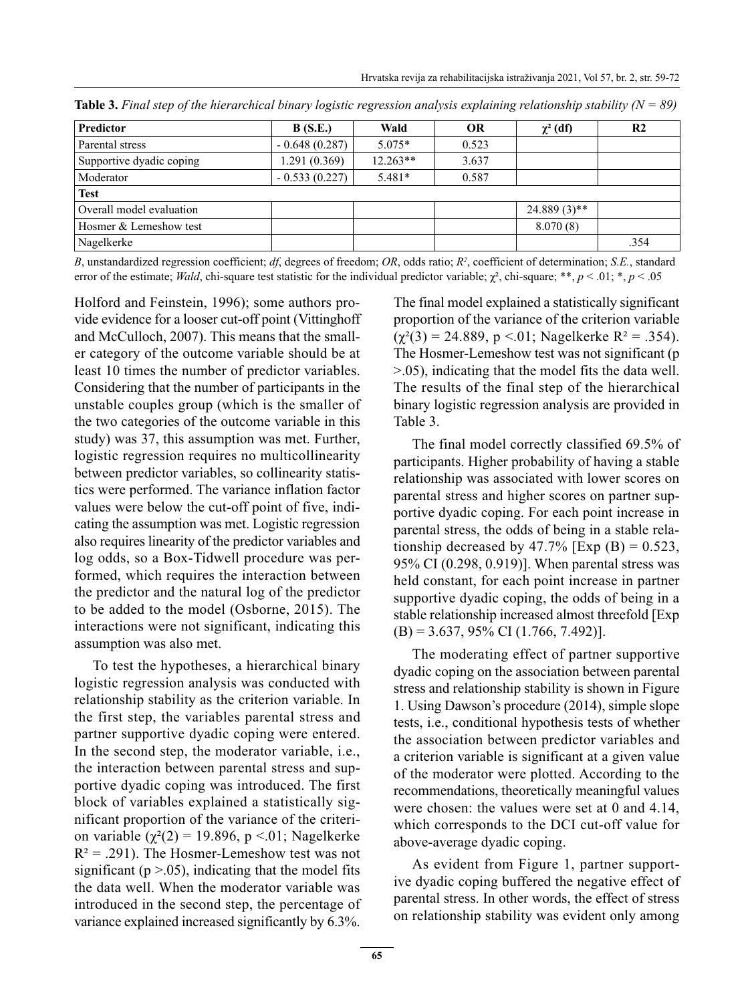| Predictor                | B(S.E.)         | Wald       | <b>OR</b> | $\chi^2$ (df)  | R <sub>2</sub> |
|--------------------------|-----------------|------------|-----------|----------------|----------------|
| Parental stress          | $-0.648(0.287)$ | $5.075*$   | 0.523     |                |                |
| Supportive dyadic coping | 1.291(0.369)    | $12.263**$ | 3.637     |                |                |
| Moderator                | $-0.533(0.227)$ | $5.481*$   | 0.587     |                |                |
| <b>Test</b>              |                 |            |           |                |                |
| Overall model evaluation |                 |            |           | $24.889(3)$ ** |                |
| Hosmer & Lemeshow test   |                 |            |           | 8.070(8)       |                |
| Nagelkerke               |                 |            |           |                | .354           |

**Table 3.** *Final step of the hierarchical binary logistic regression analysis explaining relationship stability (N = 89)*

*B*, unstandardized regression coefficient; *df*, degrees of freedom; *OR*, odds ratio; *R2* , coefficient of determination; *S.E.*, standard error of the estimate; *Wald*, chi-square test statistic for the individual predictor variable; χ², chi-square; \*\*, *p* < .01; \*, *p* < .05

Holford and Feinstein, 1996); some authors provide evidence for a looser cut-off point (Vittinghoff and McCulloch, 2007). This means that the smaller category of the outcome variable should be at least 10 times the number of predictor variables. Considering that the number of participants in the unstable couples group (which is the smaller of the two categories of the outcome variable in this study) was 37, this assumption was met. Further, logistic regression requires no multicollinearity between predictor variables, so collinearity statistics were performed. The variance inflation factor values were below the cut-off point of five, indicating the assumption was met. Logistic regression also requires linearity of the predictor variables and log odds, so a Box-Tidwell procedure was performed, which requires the interaction between the predictor and the natural log of the predictor to be added to the model (Osborne, 2015). The interactions were not significant, indicating this assumption was also met.

To test the hypotheses, a hierarchical binary logistic regression analysis was conducted with relationship stability as the criterion variable. In the first step, the variables parental stress and partner supportive dyadic coping were entered. In the second step, the moderator variable, i.e., the interaction between parental stress and supportive dyadic coping was introduced. The first block of variables explained a statistically significant proportion of the variance of the criterion variable ( $\chi^2(2) = 19.896$ , p <.01; Nagelkerke  $R^2 = .291$ ). The Hosmer-Lemeshow test was not significant ( $p > 0.05$ ), indicating that the model fits the data well. When the moderator variable was introduced in the second step, the percentage of variance explained increased significantly by 6.3%. The final model explained a statistically significant proportion of the variance of the criterion variable  $(\gamma^2(3) = 24.889, p < 0.01; Nagelkerke R^2 = 0.354).$ The Hosmer-Lemeshow test was not significant (p >.05), indicating that the model fits the data well. The results of the final step of the hierarchical binary logistic regression analysis are provided in Table 3.

The final model correctly classified 69.5% of participants. Higher probability of having a stable relationship was associated with lower scores on parental stress and higher scores on partner supportive dyadic coping. For each point increase in parental stress, the odds of being in a stable relationship decreased by 47.7%  $[Exp(B) = 0.523]$ , 95% CI (0.298, 0.919)]. When parental stress was held constant, for each point increase in partner supportive dyadic coping, the odds of being in a stable relationship increased almost threefold [Exp  $(B) = 3.637, 95\% \text{ CI } (1.766, 7.492)$ .

The moderating effect of partner supportive dyadic coping on the association between parental stress and relationship stability is shown in Figure 1. Using Dawson's procedure (2014), simple slope tests, i.e., conditional hypothesis tests of whether the association between predictor variables and a criterion variable is significant at a given value of the moderator were plotted. According to the recommendations, theoretically meaningful values were chosen: the values were set at 0 and 4.14, which corresponds to the DCI cut-off value for above-average dyadic coping.

As evident from Figure 1, partner supportive dyadic coping buffered the negative effect of parental stress. In other words, the effect of stress on relationship stability was evident only among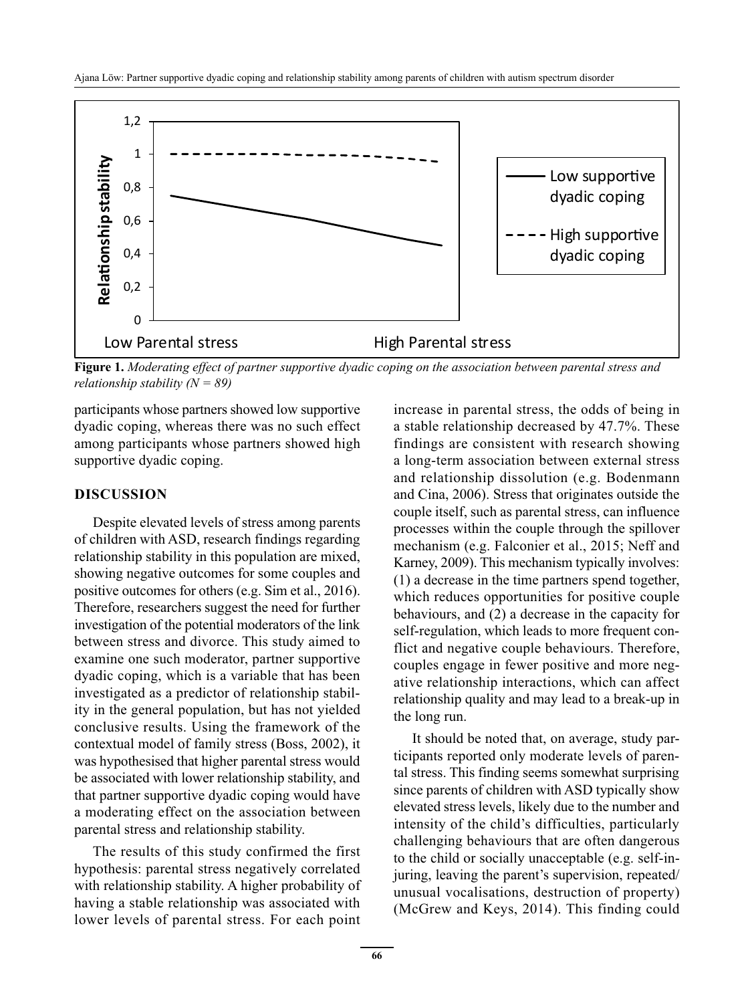

**Figure 1.** *Moderating effect of partner supportive dyadic coping on the association between parental stress and relationship stability (N = 89)*

participants whose partners showed low supportive dyadic coping, whereas there was no such effect among participants whose partners showed high supportive dyadic coping.

#### **DISCUSSION**

Despite elevated levels of stress among parents of children with ASD, research findings regarding relationship stability in this population are mixed, showing negative outcomes for some couples and positive outcomes for others (e.g. Sim et al., 2016). Therefore, researchers suggest the need for further investigation of the potential moderators of the link between stress and divorce. This study aimed to examine one such moderator, partner supportive dyadic coping, which is a variable that has been investigated as a predictor of relationship stability in the general population, but has not yielded conclusive results. Using the framework of the contextual model of family stress (Boss, 2002), it was hypothesised that higher parental stress would be associated with lower relationship stability, and that partner supportive dyadic coping would have a moderating effect on the association between parental stress and relationship stability.

The results of this study confirmed the first hypothesis: parental stress negatively correlated with relationship stability. A higher probability of having a stable relationship was associated with lower levels of parental stress. For each point increase in parental stress, the odds of being in a stable relationship decreased by 47.7%. These findings are consistent with research showing a long-term association between external stress and relationship dissolution (e.g. Bodenmann and Cina, 2006). Stress that originates outside the couple itself, such as parental stress, can influence processes within the couple through the spillover mechanism (e.g. Falconier et al., 2015; Neff and Karney, 2009). This mechanism typically involves: (1) a decrease in the time partners spend together, which reduces opportunities for positive couple behaviours, and (2) a decrease in the capacity for self-regulation, which leads to more frequent conflict and negative couple behaviours. Therefore, couples engage in fewer positive and more negative relationship interactions, which can affect relationship quality and may lead to a break-up in the long run.

It should be noted that, on average, study participants reported only moderate levels of parental stress. This finding seems somewhat surprising since parents of children with ASD typically show elevated stress levels, likely due to the number and intensity of the child's difficulties, particularly challenging behaviours that are often dangerous to the child or socially unacceptable (e.g. self-injuring, leaving the parent's supervision, repeated/ unusual vocalisations, destruction of property) (McGrew and Keys, 2014). This finding could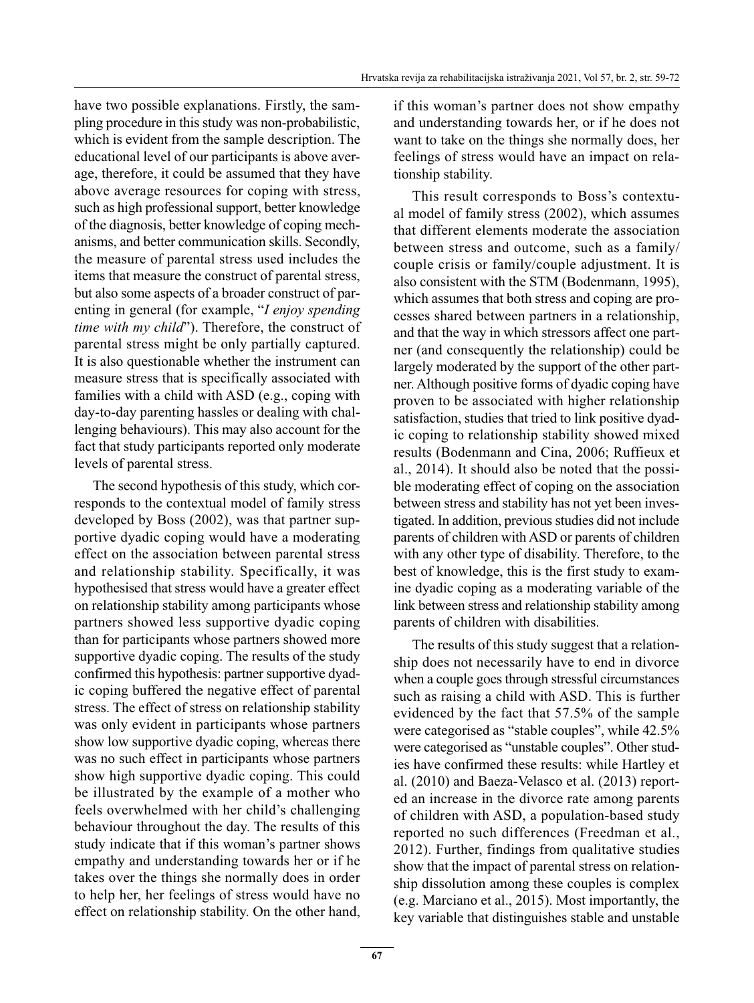have two possible explanations. Firstly, the sampling procedure in this study was non-probabilistic, which is evident from the sample description. The educational level of our participants is above average, therefore, it could be assumed that they have above average resources for coping with stress, such as high professional support, better knowledge of the diagnosis, better knowledge of coping mechanisms, and better communication skills. Secondly, the measure of parental stress used includes the items that measure the construct of parental stress, but also some aspects of a broader construct of parenting in general (for example, "*I enjoy spending time with my child*"). Therefore, the construct of parental stress might be only partially captured. It is also questionable whether the instrument can measure stress that is specifically associated with families with a child with ASD (e.g., coping with day-to-day parenting hassles or dealing with challenging behaviours). This may also account for the fact that study participants reported only moderate levels of parental stress.

The second hypothesis of this study, which corresponds to the contextual model of family stress developed by Boss (2002), was that partner supportive dyadic coping would have a moderating effect on the association between parental stress and relationship stability. Specifically, it was hypothesised that stress would have a greater effect on relationship stability among participants whose partners showed less supportive dyadic coping than for participants whose partners showed more supportive dyadic coping. The results of the study confirmed this hypothesis: partner supportive dyadic coping buffered the negative effect of parental stress. The effect of stress on relationship stability was only evident in participants whose partners show low supportive dyadic coping, whereas there was no such effect in participants whose partners show high supportive dyadic coping. This could be illustrated by the example of a mother who feels overwhelmed with her child's challenging behaviour throughout the day. The results of this study indicate that if this woman's partner shows empathy and understanding towards her or if he takes over the things she normally does in order to help her, her feelings of stress would have no effect on relationship stability. On the other hand, if this woman's partner does not show empathy and understanding towards her, or if he does not want to take on the things she normally does, her feelings of stress would have an impact on relationship stability.

This result corresponds to Boss's contextual model of family stress (2002), which assumes that different elements moderate the association between stress and outcome, such as a family/ couple crisis or family/couple adjustment. It is also consistent with the STM (Bodenmann, 1995), which assumes that both stress and coping are processes shared between partners in a relationship, and that the way in which stressors affect one partner (and consequently the relationship) could be largely moderated by the support of the other partner. Although positive forms of dyadic coping have proven to be associated with higher relationship satisfaction, studies that tried to link positive dyadic coping to relationship stability showed mixed results (Bodenmann and Cina, 2006; Ruffieux et al., 2014). It should also be noted that the possible moderating effect of coping on the association between stress and stability has not yet been investigated. In addition, previous studies did not include parents of children with ASD or parents of children with any other type of disability. Therefore, to the best of knowledge, this is the first study to examine dyadic coping as a moderating variable of the link between stress and relationship stability among parents of children with disabilities.

The results of this study suggest that a relationship does not necessarily have to end in divorce when a couple goes through stressful circumstances such as raising a child with ASD. This is further evidenced by the fact that 57.5% of the sample were categorised as "stable couples", while 42.5% were categorised as "unstable couples". Other studies have confirmed these results: while Hartley et al. (2010) and Baeza-Velasco et al. (2013) reported an increase in the divorce rate among parents of children with ASD, a population-based study reported no such differences (Freedman et al., 2012). Further, findings from qualitative studies show that the impact of parental stress on relationship dissolution among these couples is complex (e.g. Marciano et al., 2015). Most importantly, the key variable that distinguishes stable and unstable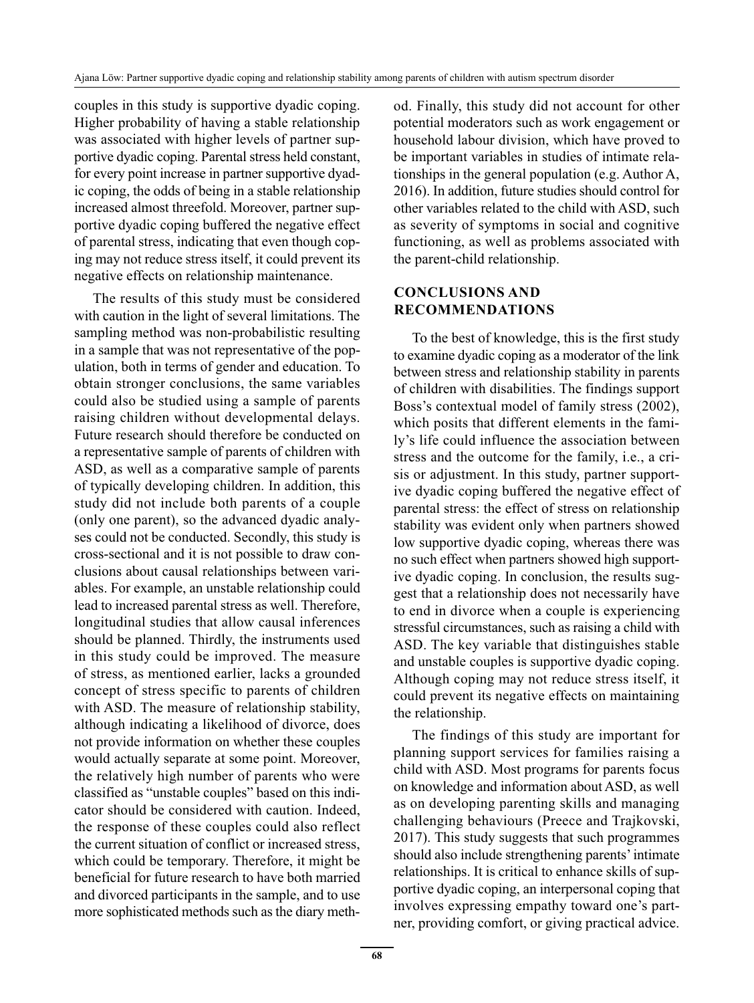couples in this study is supportive dyadic coping. Higher probability of having a stable relationship was associated with higher levels of partner supportive dyadic coping. Parental stress held constant, for every point increase in partner supportive dyadic coping, the odds of being in a stable relationship increased almost threefold. Moreover, partner supportive dyadic coping buffered the negative effect of parental stress, indicating that even though coping may not reduce stress itself, it could prevent its negative effects on relationship maintenance.

The results of this study must be considered with caution in the light of several limitations. The sampling method was non-probabilistic resulting in a sample that was not representative of the population, both in terms of gender and education. To obtain stronger conclusions, the same variables could also be studied using a sample of parents raising children without developmental delays. Future research should therefore be conducted on a representative sample of parents of children with ASD, as well as a comparative sample of parents of typically developing children. In addition, this study did not include both parents of a couple (only one parent), so the advanced dyadic analyses could not be conducted. Secondly, this study is cross-sectional and it is not possible to draw conclusions about causal relationships between variables. For example, an unstable relationship could lead to increased parental stress as well. Therefore, longitudinal studies that allow causal inferences should be planned. Thirdly, the instruments used in this study could be improved. The measure of stress, as mentioned earlier, lacks a grounded concept of stress specific to parents of children with ASD. The measure of relationship stability, although indicating a likelihood of divorce, does not provide information on whether these couples would actually separate at some point. Moreover, the relatively high number of parents who were classified as "unstable couples" based on this indicator should be considered with caution. Indeed, the response of these couples could also reflect the current situation of conflict or increased stress, which could be temporary. Therefore, it might be beneficial for future research to have both married and divorced participants in the sample, and to use more sophisticated methods such as the diary method. Finally, this study did not account for other potential moderators such as work engagement or household labour division, which have proved to be important variables in studies of intimate relationships in the general population (e.g. Author A, 2016). In addition, future studies should control for other variables related to the child with ASD, such as severity of symptoms in social and cognitive functioning, as well as problems associated with the parent-child relationship.

# **CONCLUSIONS AND RECOMMENDATIONS**

To the best of knowledge, this is the first study to examine dyadic coping as a moderator of the link between stress and relationship stability in parents of children with disabilities. The findings support Boss's contextual model of family stress (2002), which posits that different elements in the family's life could influence the association between stress and the outcome for the family, i.e., a crisis or adjustment. In this study, partner supportive dyadic coping buffered the negative effect of parental stress: the effect of stress on relationship stability was evident only when partners showed low supportive dyadic coping, whereas there was no such effect when partners showed high supportive dyadic coping. In conclusion, the results suggest that a relationship does not necessarily have to end in divorce when a couple is experiencing stressful circumstances, such as raising a child with ASD. The key variable that distinguishes stable and unstable couples is supportive dyadic coping. Although coping may not reduce stress itself, it could prevent its negative effects on maintaining the relationship.

The findings of this study are important for planning support services for families raising a child with ASD. Most programs for parents focus on knowledge and information about ASD, as well as on developing parenting skills and managing challenging behaviours (Preece and Trajkovski, 2017). This study suggests that such programmes should also include strengthening parents' intimate relationships. It is critical to enhance skills of supportive dyadic coping, an interpersonal coping that involves expressing empathy toward one's partner, providing comfort, or giving practical advice.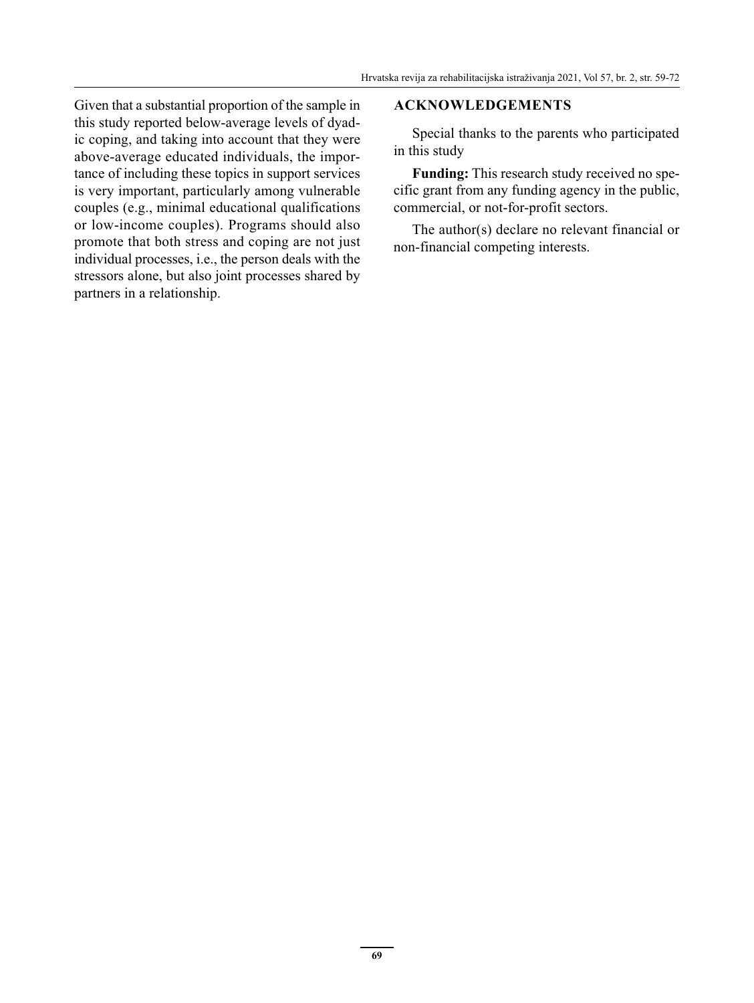Given that a substantial proportion of the sample in this study reported below-average levels of dyadic coping, and taking into account that they were above-average educated individuals, the importance of including these topics in support services is very important, particularly among vulnerable couples (e.g., minimal educational qualifications or low-income couples). Programs should also promote that both stress and coping are not just individual processes, i.e., the person deals with the stressors alone, but also joint processes shared by partners in a relationship.

#### **ACKNOWLEDGEMENTS**

Special thanks to the parents who participated in this study

**Funding:** This research study received no specific grant from any funding agency in the public, commercial, or not-for-profit sectors.

The author(s) declare no relevant financial or non-financial competing interests.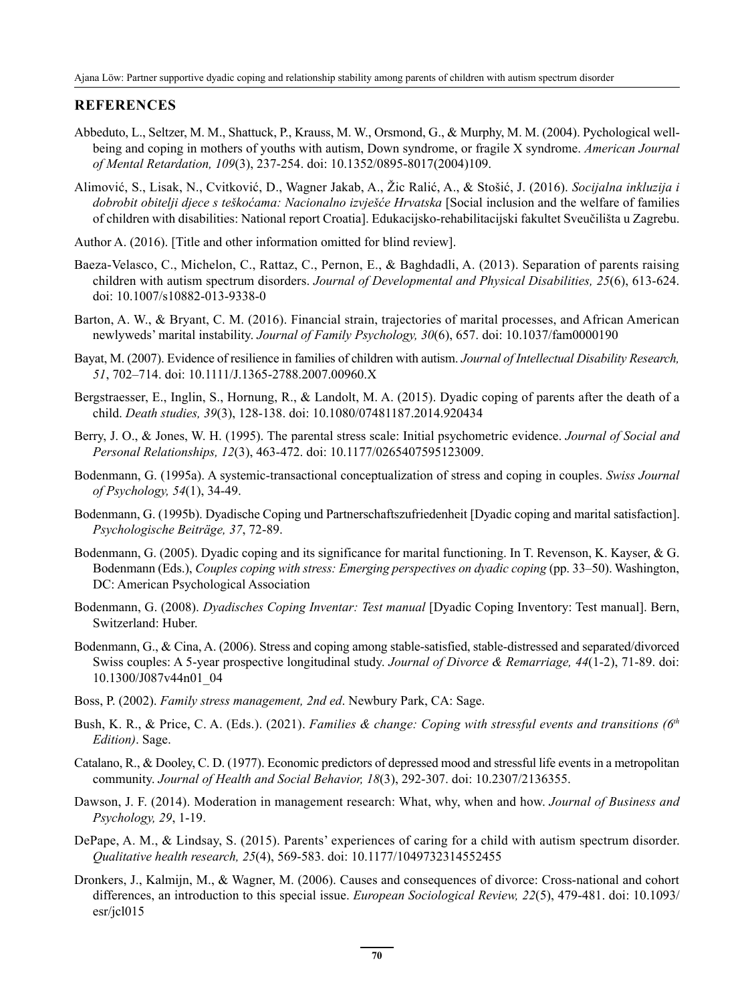#### **REFERENCES**

- Abbeduto, L., Seltzer, M. M., Shattuck, P., Krauss, M. W., Orsmond, G., & Murphy, M. M. (2004). Pychological wellbeing and coping in mothers of youths with autism, Down syndrome, or fragile X syndrome. *American Journal of Mental Retardation, 109*(3), 237-254. doi: 10.1352/0895-8017(2004)109.
- Alimović, S., Lisak, N., Cvitković, D., Wagner Jakab, A., Žic Ralić, A., & Stošić, J. (2016). *Socijalna inkluzija i dobrobit obitelji djece s teškoćama: Nacionalno izvješće Hrvatska* [Social inclusion and the welfare of families of children with disabilities: National report Croatia]. Edukacijsko-rehabilitacijski fakultet Sveučilišta u Zagrebu.
- Author A. (2016). [Title and other information omitted for blind review].
- Baeza-Velasco, C., Michelon, C., Rattaz, C., Pernon, E., & Baghdadli, A. (2013). Separation of parents raising children with autism spectrum disorders. *Journal of Developmental and Physical Disabilities, 25*(6), 613-624. doi: 10.1007/s10882-013-9338-0
- Barton, A. W., & Bryant, C. M. (2016). Financial strain, trajectories of marital processes, and African American newlyweds' marital instability. *Journal of Family Psychology, 30*(6), 657. doi: 10.1037/fam0000190
- Bayat, M. (2007). Evidence of resilience in families of children with autism. *Journal of Intellectual Disability Research, 51*, 702–714. doi: 10.1111/J.1365-2788.2007.00960.X
- Bergstraesser, E., Inglin, S., Hornung, R., & Landolt, M. A. (2015). Dyadic coping of parents after the death of a child. *Death studies, 39*(3), 128-138. doi: 10.1080/07481187.2014.920434
- Berry, J. O., & Jones, W. H. (1995). The parental stress scale: Initial psychometric evidence. *Journal of Social and Personal Relationships, 12*(3), 463-472. doi: 10.1177/0265407595123009.
- Bodenmann, G. (1995a). A systemic-transactional conceptualization of stress and coping in couples. *Swiss Journal of Psychology, 54*(1), 34-49.
- Bodenmann, G. (1995b). Dyadische Coping und Partnerschaftszufriedenheit [Dyadic coping and marital satisfaction]. *Psychologische Beiträge, 37*, 72-89.
- Bodenmann, G. (2005). Dyadic coping and its significance for marital functioning. In T. Revenson, K. Kayser, & G. Bodenmann (Eds.), *Couples coping with stress: Emerging perspectives on dyadic coping* (pp. 33–50). Washington, DC: American Psychological Association
- Bodenmann, G. (2008). *Dyadisches Coping Inventar: Test manual* [Dyadic Coping Inventory: Test manual]. Bern, Switzerland: Huber.
- Bodenmann, G., & Cina, A. (2006). Stress and coping among stable-satisfied, stable-distressed and separated/divorced Swiss couples: A 5-year prospective longitudinal study. *Journal of Divorce & Remarriage, 44*(1-2), 71-89. doi: 10.1300/J087v44n01\_04
- Boss, P. (2002). *Family stress management, 2nd ed*. Newbury Park, CA: Sage.
- Bush, K. R., & Price, C. A. (Eds.). (2021). *Families & change: Coping with stressful events and transitions (6th Edition)*. Sage.
- Catalano, R., & Dooley, C. D. (1977). Economic predictors of depressed mood and stressful life events in a metropolitan community. *Journal of Health and Social Behavior, 18*(3), 292-307. doi: 10.2307/2136355.
- Dawson, J. F. (2014). Moderation in management research: What, why, when and how. *Journal of Business and Psychology, 29*, 1-19.
- DePape, A. M., & Lindsay, S. (2015). Parents' experiences of caring for a child with autism spectrum disorder. *Qualitative health research, 25*(4), 569-583. doi: 10.1177/1049732314552455
- Dronkers, J., Kalmijn, M., & Wagner, M. (2006). Causes and consequences of divorce: Cross-national and cohort differences, an introduction to this special issue. *European Sociological Review, 22*(5), 479-481. doi: 10.1093/ esr/jcl015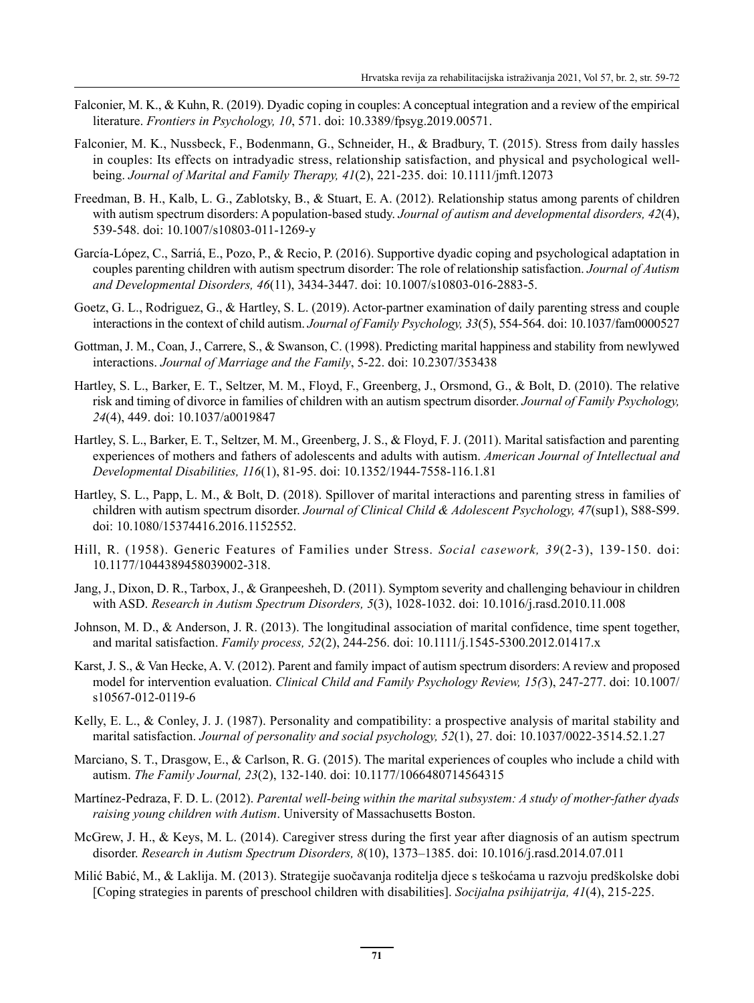- Falconier, M. K., & Kuhn, R. (2019). Dyadic coping in couples: A conceptual integration and a review of the empirical literature. *Frontiers in Psychology, 10*, 571. doi: 10.3389/fpsyg.2019.00571.
- Falconier, M. K., Nussbeck, F., Bodenmann, G., Schneider, H., & Bradbury, T. (2015). Stress from daily hassles in couples: Its effects on intradyadic stress, relationship satisfaction, and physical and psychological wellbeing. *Journal of Marital and Family Therapy, 41*(2), 221-235. doi: 10.1111/jmft.12073
- Freedman, B. H., Kalb, L. G., Zablotsky, B., & Stuart, E. A. (2012). Relationship status among parents of children with autism spectrum disorders: A population-based study. *Journal of autism and developmental disorders, 42*(4), 539-548. doi: 10.1007/s10803-011-1269-y
- García-López, C., Sarriá, E., Pozo, P., & Recio, P. (2016). Supportive dyadic coping and psychological adaptation in couples parenting children with autism spectrum disorder: The role of relationship satisfaction. *Journal of Autism and Developmental Disorders, 46*(11), 3434-3447. doi: 10.1007/s10803-016-2883-5.
- Goetz, G. L., Rodriguez, G., & Hartley, S. L. (2019). Actor-partner examination of daily parenting stress and couple interactions in the context of child autism. *Journal of Family Psychology, 33*(5), 554-564. doi: 10.1037/fam0000527
- Gottman, J. M., Coan, J., Carrere, S., & Swanson, C. (1998). Predicting marital happiness and stability from newlywed interactions. *Journal of Marriage and the Family*, 5-22. doi: 10.2307/353438
- Hartley, S. L., Barker, E. T., Seltzer, M. M., Floyd, F., Greenberg, J., Orsmond, G., & Bolt, D. (2010). The relative risk and timing of divorce in families of children with an autism spectrum disorder. *Journal of Family Psychology, 24*(4), 449. doi: 10.1037/a0019847
- Hartley, S. L., Barker, E. T., Seltzer, M. M., Greenberg, J. S., & Floyd, F. J. (2011). Marital satisfaction and parenting experiences of mothers and fathers of adolescents and adults with autism. *American Journal of Intellectual and Developmental Disabilities, 116*(1), 81-95. doi: 10.1352/1944-7558-116.1.81
- Hartley, S. L., Papp, L. M., & Bolt, D. (2018). Spillover of marital interactions and parenting stress in families of children with autism spectrum disorder. *Journal of Clinical Child & Adolescent Psychology, 47*(sup1), S88-S99. doi: 10.1080/15374416.2016.1152552.
- Hill, R. (1958). Generic Features of Families under Stress. *Social casework, 39*(2-3), 139-150. doi: 10.1177/1044389458039002-318.
- Jang, J., Dixon, D. R., Tarbox, J., & Granpeesheh, D. (2011). Symptom severity and challenging behaviour in children with ASD. *Research in Autism Spectrum Disorders, 5*(3), 1028-1032. doi: 10.1016/j.rasd.2010.11.008
- Johnson, M. D., & Anderson, J. R. (2013). The longitudinal association of marital confidence, time spent together, and marital satisfaction. *Family process, 52*(2), 244-256. doi: 10.1111/j.1545-5300.2012.01417.x
- Karst, J. S., & Van Hecke, A. V. (2012). Parent and family impact of autism spectrum disorders: A review and proposed model for intervention evaluation. *Clinical Child and Family Psychology Review, 15(*3), 247-277. doi: 10.1007/ s10567-012-0119-6
- Kelly, E. L., & Conley, J. J. (1987). Personality and compatibility: a prospective analysis of marital stability and marital satisfaction. *Journal of personality and social psychology, 52*(1), 27. doi: 10.1037/0022-3514.52.1.27
- Marciano, S. T., Drasgow, E., & Carlson, R. G. (2015). The marital experiences of couples who include a child with autism. *The Family Journal, 23*(2), 132-140. doi: 10.1177/1066480714564315
- Martínez-Pedraza, F. D. L. (2012). *Parental well-being within the marital subsystem: A study of mother-father dyads raising young children with Autism*. University of Massachusetts Boston.
- McGrew, J. H., & Keys, M. L. (2014). Caregiver stress during the first year after diagnosis of an autism spectrum disorder. *Research in Autism Spectrum Disorders, 8*(10), 1373–1385. doi: 10.1016/j.rasd.2014.07.011
- Milić Babić, M., & Laklija. M. (2013). Strategije suočavanja roditelja djece s teškoćama u razvoju predškolske dobi [Coping strategies in parents of preschool children with disabilities]. *Socijalna psihijatrija, 41*(4), 215-225.